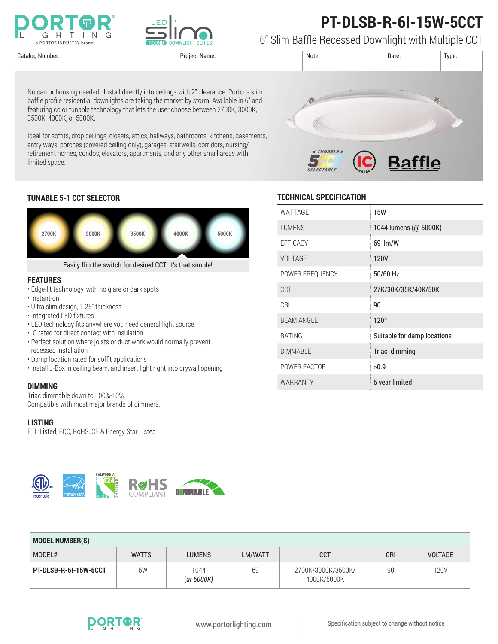

3500K, 4000K, or 5000K.

limited space.



# **PT-DLSB-R-6I-15W-5CCT**

6" Slim Baffle Recessed Downlight with Multiple CCT



### **TUNABLE 5-1 CCT SELECTOR**



No can or housing needed! Install directly into ceilings with 2" clearance. Portor's slim baffle profile residential downlights are taking the market by storm! Available in 6" and featuring color tunable technology that lets the user choose between 2700K, 3000K,

entry ways, porches (covered ceiling only), garages, stairwells, corridors, nursing/ retirement homes, condos, elevators, apartments, and any other small areas with

#### **FEATURES**

- Edge-lit technology, with no glare or dark spots
- Instant-on
- Ultra slim design, 1.25" thickness
- Integrated LED fixtures
- LED technology fits anywhere you need general light source
- IC rated for direct contact with insulation
- Perfect solution where joists or duct work would normally prevent recessed installation
- Damp location rated for soffit applications
- Install J-Box in ceiling beam, and insert light right into drywall opening

#### **DIMMING**

Triac dimmable down to 100%-10%. Compatible with most major brands of dimmers.

#### **LISTING**

ETL Listed, FCC, RoHS, CE & Energy Star Listed

**JA8-2016**

**CALIFORNIA**

COMPLIANT



| WATTAGE           | <b>15W</b>                  |
|-------------------|-----------------------------|
| <b>LUMENS</b>     | 1044 lumens (@ 5000K)       |
| EFFICACY          | 69 lm/W                     |
| <b>VOLTAGE</b>    | 120V                        |
| POWER FREQUENCY   | 50/60 Hz                    |
| CCT               | 27K/30K/35K/40K/50K         |
| CRI               | 90                          |
| <b>BEAM ANGLE</b> | 120°                        |
| <b>RATING</b>     | Suitable for damp locations |
| <b>DIMMABLE</b>   | Triac dimming               |
| POWER FACTOR      | >0.9                        |
| WARRANTY          | 5 year limited              |

| <b>MODEL NUMBER(S)</b> |              |                       |                |                                   |     |                |  |  |
|------------------------|--------------|-----------------------|----------------|-----------------------------------|-----|----------------|--|--|
| MODEL#                 | <b>WATTS</b> | <b>LUMENS</b>         | <b>LM/WATT</b> | <b>CCT</b>                        | CRI | <b>VOLTAGE</b> |  |  |
| PT-DLSB-R-6I-15W-5CCT  | 15W          | 1044<br>$(at\ 5000K)$ | 69             | 2700K/3000K/3500K/<br>4000K/5000K | 90  | 120V           |  |  |



**DIMMABLE**